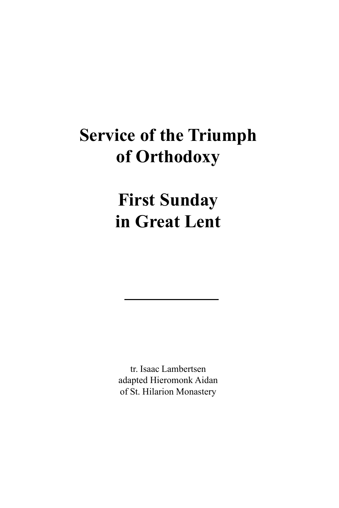# **Service of the Triumph of Orthodoxy**

**First Sunday in Great Lent**

tr. Isaac Lambertsen adapted Hieromonk Aidan of St. Hilarion Monastery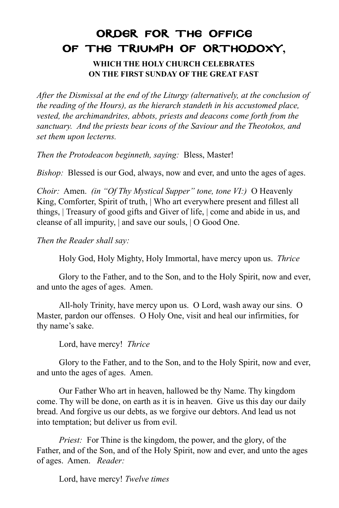## ORDER FOR THE OFFICE OF THE TRIUMPH OF ORTHODOXY**,**

**WHICH THE HOLY CHURCH CELEBRATES ON THE FIRST SUNDAY OF THE GREAT FAST**

*After the Dismissal at the end of the Liturgy (alternatively, at the conclusion of the reading of the Hours), as the hierarch standeth in his accustomed place, vested, the archimandrites, abbots, priests and deacons come forth from the sanctuary. And the priests bear icons of the Saviour and the Theotokos, and set them upon lecterns.*

*Then the Protodeacon beginneth, saying:* Bless, Master!

*Bishop:* Blessed is our God, always, now and ever, and unto the ages of ages.

*Choir:* Amen. *(in "Of Thy Mystical Supper" tone, tone VI:)* O Heavenly King, Comforter, Spirit of truth, | Who art everywhere present and fillest all things, | Treasury of good gifts and Giver of life, | come and abide in us, and cleanse of all impurity, | and save our souls, | O Good One.

*Then the Reader shall say:*

Holy God, Holy Mighty, Holy Immortal, have mercy upon us. *Thrice*

Glory to the Father, and to the Son, and to the Holy Spirit, now and ever, and unto the ages of ages. Amen.

All-holy Trinity, have mercy upon us. O Lord, wash away our sins. O Master, pardon our offenses. O Holy One, visit and heal our infirmities, for thy name's sake.

Lord, have mercy! *Thrice*

Glory to the Father, and to the Son, and to the Holy Spirit, now and ever, and unto the ages of ages. Amen.

Our Father Who art in heaven, hallowed be thy Name. Thy kingdom come. Thy will be done, on earth as it is in heaven. Give us this day our daily bread. And forgive us our debts, as we forgive our debtors. And lead us not into temptation; but deliver us from evil.

*Priest:* For Thine is the kingdom, the power, and the glory, of the Father, and of the Son, and of the Holy Spirit, now and ever, and unto the ages of ages. Amen. *Reader:*

Lord, have mercy! *Twelve times*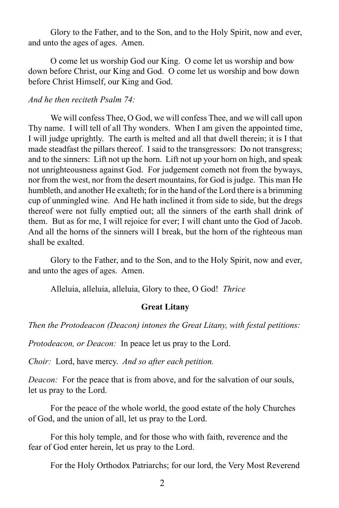Glory to the Father, and to the Son, and to the Holy Spirit, now and ever, and unto the ages of ages. Amen.

O come let us worship God our King. O come let us worship and bow down before Christ, our King and God. O come let us worship and bow down before Christ Himself, our King and God.

#### *And he then reciteth Psalm 74:*

We will confess Thee, O God, we will confess Thee, and we will call upon Thy name. I will tell of all Thy wonders. When I am given the appointed time, I will judge uprightly. The earth is melted and all that dwell therein; it is I that made steadfast the pillars thereof. I said to the transgressors: Do not transgress; and to the sinners: Lift not up the horn. Lift not up your horn on high, and speak not unrighteousness against God. For judgement cometh not from the byways, nor from the west, nor from the desert mountains, for God is judge. This man He humbleth, and another He exalteth; for in the hand of the Lord there is a brimming cup of unmingled wine. And He hath inclined it from side to side, but the dregs thereof were not fully emptied out; all the sinners of the earth shall drink of them. But as for me, I will rejoice for ever; I will chant unto the God of Jacob. And all the horns of the sinners will I break, but the horn of the righteous man shall be exalted.

Glory to the Father, and to the Son, and to the Holy Spirit, now and ever, and unto the ages of ages. Amen.

Alleluia, alleluia, alleluia, Glory to thee, O God! *Thrice*

#### **Great Litany**

*Then the Protodeacon (Deacon) intones the Great Litany, with festal petitions:*

*Protodeacon, or Deacon:* In peace let us pray to the Lord.

*Choir:* Lord, have mercy. *And so after each petition.*

*Deacon:* For the peace that is from above, and for the salvation of our souls, let us pray to the Lord.

For the peace of the whole world, the good estate of the holy Churches of God, and the union of all, let us pray to the Lord.

For this holy temple, and for those who with faith, reverence and the fear of God enter herein, let us pray to the Lord.

For the Holy Orthodox Patriarchs; for our lord, the Very Most Reverend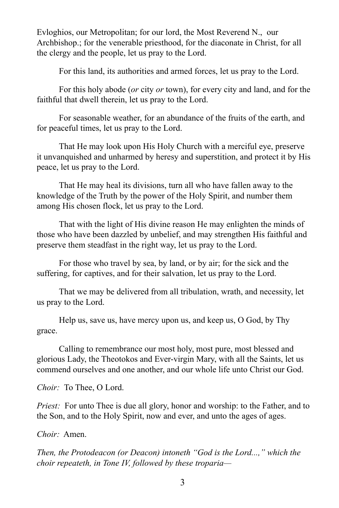Evloghios, our Metropolitan; for our lord, the Most Reverend N., our Archbishop.; for the venerable priesthood, for the diaconate in Christ, for all the clergy and the people, let us pray to the Lord.

For this land, its authorities and armed forces, let us pray to the Lord.

For this holy abode (*or* city *or* town), for every city and land, and for the faithful that dwell therein, let us pray to the Lord.

For seasonable weather, for an abundance of the fruits of the earth, and for peaceful times, let us pray to the Lord.

That He may look upon His Holy Church with a merciful eye, preserve it unvanquished and unharmed by heresy and superstition, and protect it by His peace, let us pray to the Lord.

That He may heal its divisions, turn all who have fallen away to the knowledge of the Truth by the power of the Holy Spirit, and number them among His chosen flock, let us pray to the Lord.

That with the light of His divine reason He may enlighten the minds of those who have been dazzled by unbelief, and may strengthen His faithful and preserve them steadfast in the right way, let us pray to the Lord.

For those who travel by sea, by land, or by air; for the sick and the suffering, for captives, and for their salvation, let us pray to the Lord.

That we may be delivered from all tribulation, wrath, and necessity, let us pray to the Lord.

Help us, save us, have mercy upon us, and keep us, O God, by Thy grace.

Calling to remembrance our most holy, most pure, most blessed and glorious Lady, the Theotokos and Ever-virgin Mary, with all the Saints, let us commend ourselves and one another, and our whole life unto Christ our God.

*Choir:* To Thee, O Lord.

*Priest:* For unto Thee is due all glory, honor and worship: to the Father, and to the Son, and to the Holy Spirit, now and ever, and unto the ages of ages.

*Choir:* Amen.

*Then, the Protodeacon (or Deacon) intoneth "God is the Lord...," which the choir repeateth, in Tone IV, followed by these troparia—*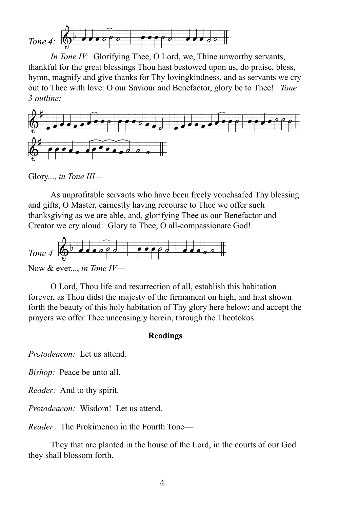

*In Tone IV:* Glorifying Thee, O Lord, we, Thine unworthy servants, thankful for the great blessings Thou hast bestowed upon us, do praise, bless, hymn, magnify and give thanks for Thy lovingkindness, and as servants we cry out to Thee with love: O our Saviour and Benefactor, glory be to Thee! *Tone 3 outline:*



Glory..., *in Tone III—*

As unprofitable servants who have been freely vouchsafed Thy blessing and gifts, O Master, earnestly having recourse to Thee we offer such thanksgiving as we are able, and, glorifying Thee as our Benefactor and Creator we cry aloud: Glory to Thee, O all-compassionate God!



Now & ever..., *in Tone IV*—

O Lord, Thou life and resurrection of all, establish this habitation forever, as Thou didst the majesty of the firmament on high, and hast shown forth the beauty of this holy habitation of Thy glory here below; and accept the prayers we offer Thee unceasingly herein, through the Theotokos.

#### **Readings**

*Protodeacon:* Let us attend.

*Bishop:* Peace be unto all.

*Reader:* And to thy spirit.

*Protodeacon:* Wisdom! Let us attend.

*Reader:* The Prokimenon in the Fourth Tone—

They that are planted in the house of the Lord, in the courts of our God they shall blossom forth.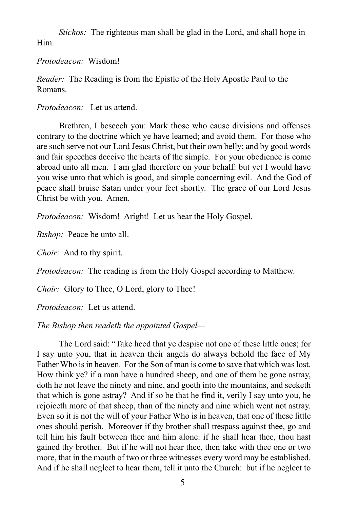*Stichos:* The righteous man shall be glad in the Lord, and shall hope in Him.

*Protodeacon:* Wisdom!

*Reader:* The Reading is from the Epistle of the Holy Apostle Paul to the Romans.

*Protodeacon:* Let us attend.

Brethren, I beseech you: Mark those who cause divisions and offenses contrary to the doctrine which ye have learned; and avoid them. For those who are such serve not our Lord Jesus Christ, but their own belly; and by good words and fair speeches deceive the hearts of the simple. For your obedience is come abroad unto all men. I am glad therefore on your behalf: but yet I would have you wise unto that which is good, and simple concerning evil. And the God of peace shall bruise Satan under your feet shortly. The grace of our Lord Jesus Christ be with you. Amen.

*Protodeacon:* Wisdom! Aright! Let us hear the Holy Gospel.

*Bishop:* Peace be unto all.

*Choir:* And to thy spirit.

*Protodeacon:* The reading is from the Holy Gospel according to Matthew.

*Choir:* Glory to Thee, O Lord, glory to Thee!

*Protodeacon:* Let us attend.

*The Bishop then readeth the appointed Gospel—*

The Lord said: "Take heed that ye despise not one of these little ones; for I say unto you, that in heaven their angels do always behold the face of My Father Who is in heaven. For the Son of man is come to save that which was lost. How think ye? if a man have a hundred sheep, and one of them be gone astray, doth he not leave the ninety and nine, and goeth into the mountains, and seeketh that which is gone astray? And if so be that he find it, verily I say unto you, he rejoiceth more of that sheep, than of the ninety and nine which went not astray. Even so it is not the will of your Father Who is in heaven, that one of these little ones should perish. Moreover if thy brother shall trespass against thee, go and tell him his fault between thee and him alone: if he shall hear thee, thou hast gained thy brother. But if he will not hear thee, then take with thee one or two more, that in the mouth of two or three witnesses every word may be established. And if he shall neglect to hear them, tell it unto the Church: but if he neglect to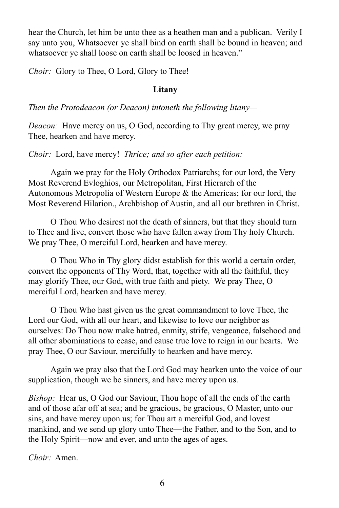hear the Church, let him be unto thee as a heathen man and a publican. Verily I say unto you, Whatsoever ye shall bind on earth shall be bound in heaven; and whatsoever ye shall loose on earth shall be loosed in heaven."

*Choir:* Glory to Thee, O Lord, Glory to Thee!

#### **Litany**

*Then the Protodeacon (or Deacon) intoneth the following litany—*

*Deacon:* Have mercy on us, O God, according to Thy great mercy, we pray Thee, hearken and have mercy.

*Choir:* Lord, have mercy! *Thrice; and so after each petition:*

Again we pray for the Holy Orthodox Patriarchs; for our lord, the Very Most Reverend Evloghios, our Metropolitan, First Hierarch of the Autonomous Metropolia of Western Europe & the Americas; for our lord, the Most Reverend Hilarion., Archbishop of Austin, and all our brethren in Christ.

O Thou Who desirest not the death of sinners, but that they should turn to Thee and live, convert those who have fallen away from Thy holy Church. We pray Thee, O merciful Lord, hearken and have mercy.

O Thou Who in Thy glory didst establish for this world a certain order, convert the opponents of Thy Word, that, together with all the faithful, they may glorify Thee, our God, with true faith and piety. We pray Thee, O merciful Lord, hearken and have mercy.

O Thou Who hast given us the great commandment to love Thee, the Lord our God, with all our heart, and likewise to love our neighbor as ourselves: Do Thou now make hatred, enmity, strife, vengeance, falsehood and all other abominations to cease, and cause true love to reign in our hearts. We pray Thee, O our Saviour, mercifully to hearken and have mercy.

Again we pray also that the Lord God may hearken unto the voice of our supplication, though we be sinners, and have mercy upon us.

*Bishop:* Hear us, O God our Saviour, Thou hope of all the ends of the earth and of those afar off at sea; and be gracious, be gracious, O Master, unto our sins, and have mercy upon us; for Thou art a merciful God, and lovest mankind, and we send up glory unto Thee—the Father, and to the Son, and to the Holy Spirit—now and ever, and unto the ages of ages.

*Choir:* Amen.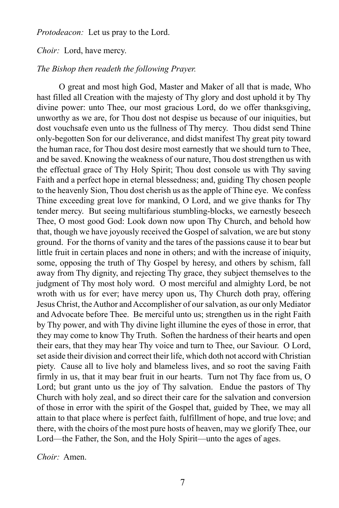*Protodeacon:* Let us pray to the Lord.

*Choir:* Lord, have mercy.

#### *The Bishop then readeth the following Prayer.*

O great and most high God, Master and Maker of all that is made, Who hast filled all Creation with the majesty of Thy glory and dost uphold it by Thy divine power: unto Thee, our most gracious Lord, do we offer thanksgiving, unworthy as we are, for Thou dost not despise us because of our iniquities, but dost vouchsafe even unto us the fullness of Thy mercy. Thou didst send Thine only-begotten Son for our deliverance, and didst manifest Thy great pity toward the human race, for Thou dost desire most earnestly that we should turn to Thee, and be saved. Knowing the weakness of our nature, Thou dost strengthen us with the effectual grace of Thy Holy Spirit; Thou dost console us with Thy saving Faith and a perfect hope in eternal blessedness; and, guiding Thy chosen people to the heavenly Sion, Thou dost cherish us as the apple of Thine eye. We confess Thine exceeding great love for mankind, O Lord, and we give thanks for Thy tender mercy. But seeing multifarious stumbling-blocks, we earnestly beseech Thee, O most good God: Look down now upon Thy Church, and behold how that, though we have joyously received the Gospel of salvation, we are but stony ground. For the thorns of vanity and the tares of the passions cause it to bear but little fruit in certain places and none in others; and with the increase of iniquity, some, opposing the truth of Thy Gospel by heresy, and others by schism, fall away from Thy dignity, and rejecting Thy grace, they subject themselves to the judgment of Thy most holy word. O most merciful and almighty Lord, be not wroth with us for ever; have mercy upon us, Thy Church doth pray, offering Jesus Christ, the Author and Accomplisher of our salvation, as our only Mediator and Advocate before Thee. Be merciful unto us; strengthen us in the right Faith by Thy power, and with Thy divine light illumine the eyes of those in error, that they may come to know Thy Truth. Soften the hardness of their hearts and open their ears, that they may hear Thy voice and turn to Thee, our Saviour. O Lord, set aside their division and correct their life, which doth not accord with Christian piety. Cause all to live holy and blameless lives, and so root the saving Faith firmly in us, that it may bear fruit in our hearts. Turn not Thy face from us, O Lord; but grant unto us the joy of Thy salvation. Endue the pastors of Thy Church with holy zeal, and so direct their care for the salvation and conversion of those in error with the spirit of the Gospel that, guided by Thee, we may all attain to that place where is perfect faith, fulfillment of hope, and true love; and there, with the choirs of the most pure hosts of heaven, may we glorify Thee, our Lord—the Father, the Son, and the Holy Spirit—unto the ages of ages.

*Choir:* Amen.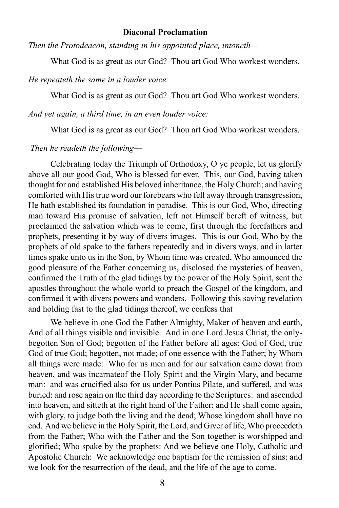#### **Diaconal Proclamation**

*Then the Protodeacon, standing in his appointed place, intoneth—*

What God is as great as our God? Thou art God Who workest wonders.

*He repeateth the same in a louder voice:*

What God is as great as our God? Thou art God Who workest wonders.

*And yet again, a third time, in an even louder voice:*

What God is as great as our God? Thou art God Who workest wonders.

#### *Then he readeth the following—*

Celebrating today the Triumph of Orthodoxy, O ye people, let us glorify above all our good God, Who is blessed for ever. This, our God, having taken thought for and established His beloved inheritance, the Holy Church; and having comforted with His true word our forebears who fell away through transgression, He hath established its foundation in paradise. This is our God, Who, directing man toward His promise of salvation, left not Himself bereft of witness, but proclaimed the salvation which was to come, first through the forefathers and prophets, presenting it by way of divers images. This is our God, Who by the prophets of old spake to the fathers repeatedly and in divers ways, and in latter times spake unto us in the Son, by Whom time was created, Who announced the good pleasure of the Father concerning us, disclosed the mysteries of heaven, confirmed the Truth of the glad tidings by the power of the Holy Spirit, sent the apostles throughout the whole world to preach the Gospel of the kingdom, and confirmed it with divers powers and wonders. Following this saving revelation and holding fast to the glad tidings thereof, we confess that

We believe in one God the Father Almighty, Maker of heaven and earth, And of all things visible and invisible. And in one Lord Jesus Christ, the onlybegotten Son of God; begotten of the Father before all ages: God of God, true God of true God; begotten, not made; of one essence with the Father; by Whom all things were made: Who for us men and for our salvation came down from heaven, and was incarnateof the Holy Spirit and the Virgin Mary, and became man: and was crucified also for us under Pontius Pilate, and suffered, and was buried: and rose again on the third day according to the Scriptures: and ascended into heaven, and sitteth at the right hand of the Father: and He shall come again, with glory, to judge both the living and the dead; Whose kingdom shall have no end. And we believe in the Holy Spirit, the Lord, and Giver of life, Who proceedeth from the Father; Who with the Father and the Son together is worshipped and glorified; Who spake by the prophets: And we believe one Holy, Catholic and Apostolic Church: We acknowledge one baptism for the remission of sins: and we look for the resurrection of the dead, and the life of the age to come.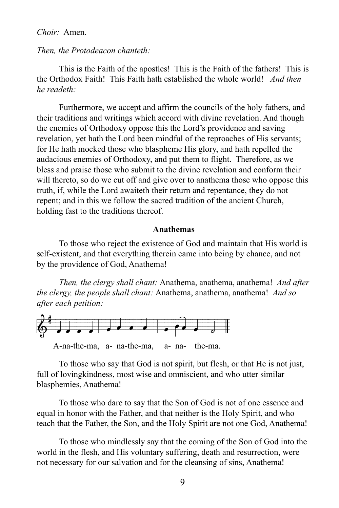#### *Choir:* Amen.

#### *Then, the Protodeacon chanteth:*

This is the Faith of the apostles! This is the Faith of the fathers! This is the Orthodox Faith! This Faith hath established the whole world! *And then he readeth:*

Furthermore, we accept and affirm the councils of the holy fathers, and their traditions and writings which accord with divine revelation. And though the enemies of Orthodoxy oppose this the Lord's providence and saving revelation, yet hath the Lord been mindful of the reproaches of His servants; for He hath mocked those who blaspheme His glory, and hath repelled the audacious enemies of Orthodoxy, and put them to flight. Therefore, as we bless and praise those who submit to the divine revelation and conform their will thereto, so do we cut off and give over to anathema those who oppose this truth, if, while the Lord awaiteth their return and repentance, they do not repent; and in this we follow the sacred tradition of the ancient Church, holding fast to the traditions thereof.

#### **Anathemas**

To those who reject the existence of God and maintain that His world is self-existent, and that everything therein came into being by chance, and not by the providence of God, Anathema!

*Then, the clergy shall chant:* Anathema, anathema, anathema! *And after the clergy, the people shall chant:* Anathema, anathema, anathema! *And so after each petition:*



To those who say that God is not spirit, but flesh, or that He is not just, full of lovingkindness, most wise and omniscient, and who utter similar blasphemies, Anathema!

To those who dare to say that the Son of God is not of one essence and equal in honor with the Father, and that neither is the Holy Spirit, and who teach that the Father, the Son, and the Holy Spirit are not one God, Anathema!

To those who mindlessly say that the coming of the Son of God into the world in the flesh, and His voluntary suffering, death and resurrection, were not necessary for our salvation and for the cleansing of sins, Anathema!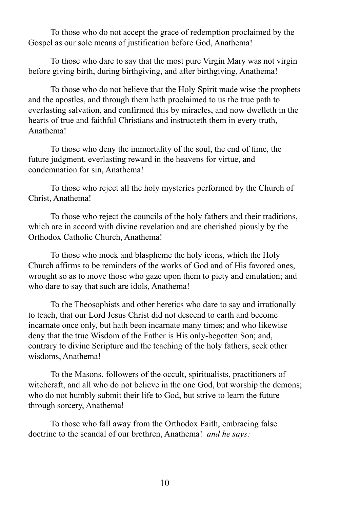To those who do not accept the grace of redemption proclaimed by the Gospel as our sole means of justification before God, Anathema!

To those who dare to say that the most pure Virgin Mary was not virgin before giving birth, during birthgiving, and after birthgiving, Anathema!

To those who do not believe that the Holy Spirit made wise the prophets and the apostles, and through them hath proclaimed to us the true path to everlasting salvation, and confirmed this by miracles, and now dwelleth in the hearts of true and faithful Christians and instructeth them in every truth, Anathema!

To those who deny the immortality of the soul, the end of time, the future judgment, everlasting reward in the heavens for virtue, and condemnation for sin, Anathema!

To those who reject all the holy mysteries performed by the Church of Christ, Anathema!

To those who reject the councils of the holy fathers and their traditions, which are in accord with divine revelation and are cherished piously by the Orthodox Catholic Church, Anathema!

To those who mock and blaspheme the holy icons, which the Holy Church affirms to be reminders of the works of God and of His favored ones, wrought so as to move those who gaze upon them to piety and emulation; and who dare to say that such are idols, Anathema!

To the Theosophists and other heretics who dare to say and irrationally to teach, that our Lord Jesus Christ did not descend to earth and become incarnate once only, but hath been incarnate many times; and who likewise deny that the true Wisdom of the Father is His only-begotten Son; and, contrary to divine Scripture and the teaching of the holy fathers, seek other wisdoms, Anathema!

To the Masons, followers of the occult, spiritualists, practitioners of witchcraft, and all who do not believe in the one God, but worship the demons; who do not humbly submit their life to God, but strive to learn the future through sorcery, Anathema!

To those who fall away from the Orthodox Faith, embracing false doctrine to the scandal of our brethren, Anathema! *and he says:*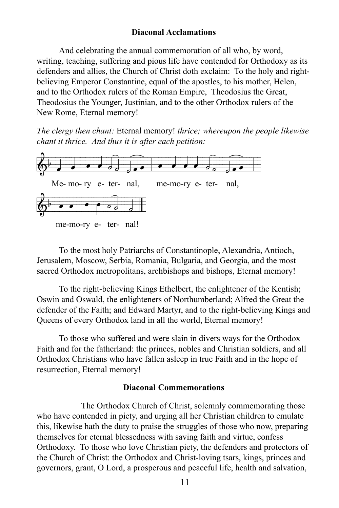#### **Diaconal Acclamations**

And celebrating the annual commemoration of all who, by word, writing, teaching, suffering and pious life have contended for Orthodoxy as its defenders and allies, the Church of Christ doth exclaim: To the holy and rightbelieving Emperor Constantine, equal of the apostles, to his mother, Helen, and to the Orthodox rulers of the Roman Empire, Theodosius the Great, Theodosius the Younger, Justinian, and to the other Orthodox rulers of the New Rome, Eternal memory!

*The clergy then chant:* Eternal memory! *thrice; whereupon the people likewise chant it thrice. And thus it is after each petition:*



To the most holy Patriarchs of Constantinople, Alexandria, Antioch, Jerusalem, Moscow, Serbia, Romania, Bulgaria, and Georgia, and the most sacred Orthodox metropolitans, archbishops and bishops, Eternal memory!

To the right-believing Kings Ethelbert, the enlightener of the Kentish; Oswin and Oswald, the enlighteners of Northumberland; Alfred the Great the defender of the Faith; and Edward Martyr, and to the right-believing Kings and Queens of every Orthodox land in all the world, Eternal memory!

To those who suffered and were slain in divers ways for the Orthodox Faith and for the fatherland: the princes, nobles and Christian soldiers, and all Orthodox Christians who have fallen asleep in true Faith and in the hope of resurrection, Eternal memory!

#### **Diaconal Commemorations**

The Orthodox Church of Christ, solemnly commemorating those who have contended in piety, and urging all her Christian children to emulate this, likewise hath the duty to praise the struggles of those who now, preparing themselves for eternal blessedness with saving faith and virtue, confess Orthodoxy. To those who love Christian piety, the defenders and protectors of the Church of Christ: the Orthodox and Christ-loving tsars, kings, princes and governors, grant, O Lord, a prosperous and peaceful life, health and salvation,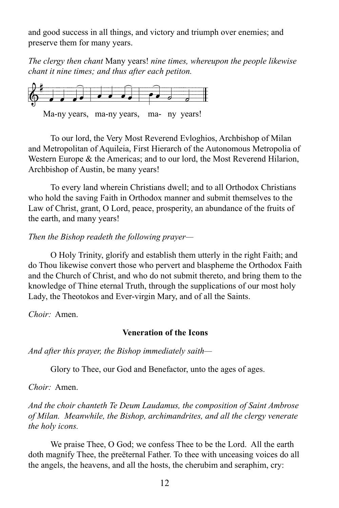and good success in all things, and victory and triumph over enemies; and preserve them for many years.

*The clergy then chant* Many years! *nine times, whereupon the people likewise chant it nine times; and thus after each petiton.*



Ma-ny years, ma-ny years, ma-ny years!

To our lord, the Very Most Reverend Evloghios, Archbishop of Milan and Metropolitan of Aquileia, First Hierarch of the Autonomous Metropolia of Western Europe & the Americas; and to our lord, the Most Reverend Hilarion, Archbishop of Austin, be many years!

To every land wherein Christians dwell; and to all Orthodox Christians who hold the saving Faith in Orthodox manner and submit themselves to the Law of Christ, grant, O Lord, peace, prosperity, an abundance of the fruits of the earth, and many years!

*Then the Bishop readeth the following prayer—*

O Holy Trinity, glorify and establish them utterly in the right Faith; and do Thou likewise convert those who pervert and blaspheme the Orthodox Faith and the Church of Christ, and who do not submit thereto, and bring them to the knowledge of Thine eternal Truth, through the supplications of our most holy Lady, the Theotokos and Ever-virgin Mary, and of all the Saints.

*Choir:* Amen.

### **Veneration of the Icons**

*And after this prayer, the Bishop immediately saith—*

Glory to Thee, our God and Benefactor, unto the ages of ages.

*Choir:* Amen.

*And the choir chanteth Te Deum Laudamus, the composition of Saint Ambrose of Milan. Meanwhile, the Bishop, archimandrites, and all the clergy venerate the holy icons.*

We praise Thee, O God; we confess Thee to be the Lord. All the earth doth magnify Thee, the preëternal Father. To thee with unceasing voices do all the angels, the heavens, and all the hosts, the cherubim and seraphim, cry: